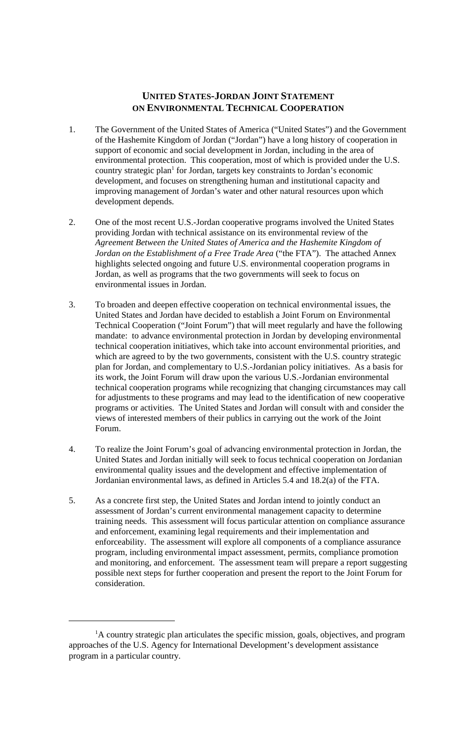# **UNITED STATES-JORDAN JOINT STATEMENT ON ENVIRONMENTAL TECHNICAL COOPERATION**

- 1. The Government of the United States of America ("United States") and the Government of the Hashemite Kingdom of Jordan ("Jordan") have a long history of cooperation in support of economic and social development in Jordan, including in the area of environmental protection. This cooperation, most of which is provided under the U.S. country strategic plan<sup>1</sup> for Jordan, targets key constraints to Jordan's economic development, and focuses on strengthening human and institutional capacity and improving management of Jordan's water and other natural resources upon which development depends.
- 2. One of the most recent U.S.-Jordan cooperative programs involved the United States providing Jordan with technical assistance on its environmental review of the *Agreement Between the United States of America and the Hashemite Kingdom of Jordan on the Establishment of a Free Trade Area* ("the FTA"). The attached Annex highlights selected ongoing and future U.S. environmental cooperation programs in Jordan, as well as programs that the two governments will seek to focus on environmental issues in Jordan.
- 3. To broaden and deepen effective cooperation on technical environmental issues, the United States and Jordan have decided to establish a Joint Forum on Environmental Technical Cooperation ("Joint Forum") that will meet regularly and have the following mandate: to advance environmental protection in Jordan by developing environmental technical cooperation initiatives, which take into account environmental priorities, and which are agreed to by the two governments, consistent with the U.S. country strategic plan for Jordan, and complementary to U.S.-Jordanian policy initiatives. As a basis for its work, the Joint Forum will draw upon the various U.S.-Jordanian environmental technical cooperation programs while recognizing that changing circumstances may call for adjustments to these programs and may lead to the identification of new cooperative programs or activities. The United States and Jordan will consult with and consider the views of interested members of their publics in carrying out the work of the Joint Forum.
- 4. To realize the Joint Forum's goal of advancing environmental protection in Jordan, the United States and Jordan initially will seek to focus technical cooperation on Jordanian environmental quality issues and the development and effective implementation of Jordanian environmental laws, as defined in Articles 5.4 and 18.2(a) of the FTA.
- 5. As a concrete first step, the United States and Jordan intend to jointly conduct an assessment of Jordan's current environmental management capacity to determine training needs. This assessment will focus particular attention on compliance assurance and enforcement, examining legal requirements and their implementation and enforceability. The assessment will explore all components of a compliance assurance program, including environmental impact assessment, permits, compliance promotion and monitoring, and enforcement. The assessment team will prepare a report suggesting possible next steps for further cooperation and present the report to the Joint Forum for consideration.

<sup>&</sup>lt;sup>1</sup>A country strategic plan articulates the specific mission, goals, objectives, and program approaches of the U.S. Agency for International Development's development assistance program in a particular country.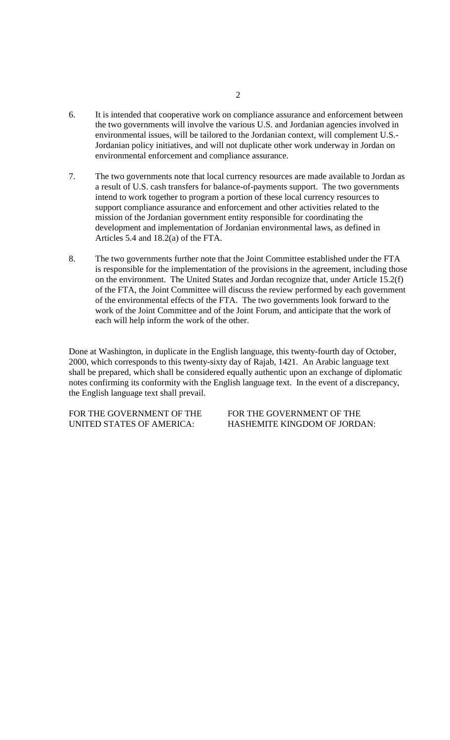- 6. It is intended that cooperative work on compliance assurance and enforcement between the two governments will involve the various U.S. and Jordanian agencies involved in environmental issues, will be tailored to the Jordanian context, will complement U.S.- Jordanian policy initiatives, and will not duplicate other work underway in Jordan on environmental enforcement and compliance assurance.
- 7. The two governments note that local currency resources are made available to Jordan as a result of U.S. cash transfers for balance-of-payments support. The two governments intend to work together to program a portion of these local currency resources to support compliance assurance and enforcement and other activities related to the mission of the Jordanian government entity responsible for coordinating the development and implementation of Jordanian environmental laws, as defined in Articles 5.4 and 18.2(a) of the FTA.
- 8. The two governments further note that the Joint Committee established under the FTA is responsible for the implementation of the provisions in the agreement, including those on the environment. The United States and Jordan recognize that, under Article 15.2(f) of the FTA, the Joint Committee will discuss the review performed by each government of the environmental effects of the FTA. The two governments look forward to the work of the Joint Committee and of the Joint Forum, and anticipate that the work of each will help inform the work of the other.

Done at Washington, in duplicate in the English language, this twenty-fourth day of October, 2000, which corresponds to this twenty-sixty day of Rajab, 1421. An Arabic language text shall be prepared, which shall be considered equally authentic upon an exchange of diplomatic notes confirming its conformity with the English language text. In the event of a discrepancy, the English language text shall prevail.

FOR THE GOVERNMENT OF THE FOR THE GOVERNMENT OF THE UNITED STATES OF AMERICA: HASHEMITE KINGDOM OF JORDAN: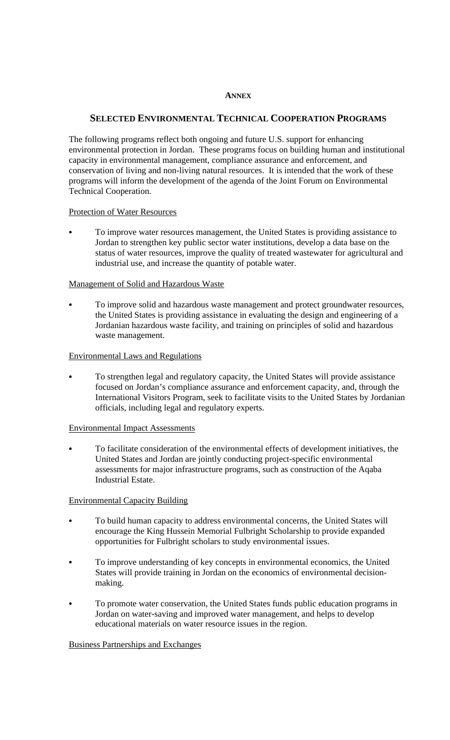#### **ANNEX**

## **SELECTED ENVIRONMENTAL TECHNICAL COOPERATION PROGRAMS**

The following programs reflect both ongoing and future U.S. support for enhancing environmental protection in Jordan. These programs focus on building human and institutional capacity in environmental management, compliance assurance and enforcement, and conservation of living and non-living natural resources. It is intended that the work of these programs will inform the development of the agenda of the Joint Forum on Environmental Technical Cooperation.

#### Protection of Water Resources

 To improve water resources management, the United States is providing assistance to Jordan to strengthen key public sector water institutions, develop a data base on the status of water resources, improve the quality of treated wastewater for agricultural and industrial use, and increase the quantity of potable water.

## Management of Solid and Hazardous Waste

 To improve solid and hazardous waste management and protect groundwater resources, the United States is providing assistance in evaluating the design and engineering of a Jordanian hazardous waste facility, and training on principles of solid and hazardous waste management.

#### Environmental Laws and Regulations

 To strengthen legal and regulatory capacity, the United States will provide assistance focused on Jordan's compliance assurance and enforcement capacity, and, through the International Visitors Program, seek to facilitate visits to the United States by Jordanian officials, including legal and regulatory experts.

## Environmental Impact Assessments

 To facilitate consideration of the environmental effects of development initiatives, the United States and Jordan are jointly conducting project-specific environmental assessments for major infrastructure programs, such as construction of the Aqaba Industrial Estate.

## Environmental Capacity Building

- To build human capacity to address environmental concerns, the United States will encourage the King Hussein Memorial Fulbright Scholarship to provide expanded opportunities for Fulbright scholars to study environmental issues.
- To improve understanding of key concepts in environmental economics, the United States will provide training in Jordan on the economics of environmental decisionmaking.
- To promote water conservation, the United States funds public education programs in Jordan on water-saving and improved water management, and helps to develop educational materials on water resource issues in the region.

## Business Partnerships and Exchanges